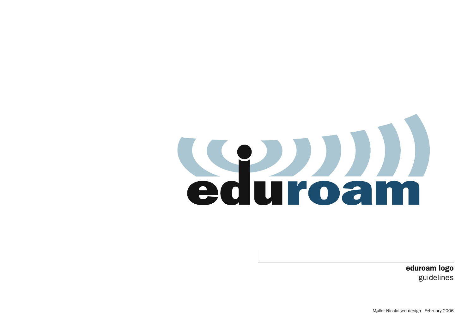## Sauroam

eduroam logo guidelines

Møller Nicolaisen design - February 2006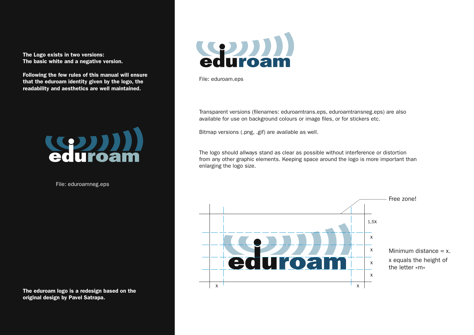The Logo exists in two versions: The basic white and a negative version.

Following the few rules of this manual will ensure that the eduroam identity given by the logo, the readability and aesthetics are well maintained.



File: eduroamneg.eps

The eduroam logo is a redesign based on the original design by Pavel Satrapa.



File: eduroam.eps

Transparent versions (filenames: eduroamtrans.eps, eduroamtransneg.eps) are also available for use on background colours or image files, or for stickers etc.

Bitmap versions (.png, .gif) are available as well.

The logo should allways stand as clear as possible without interference or distortion from any other graphic elements. Keeping space around the logo is more important than enlarging the logo size.

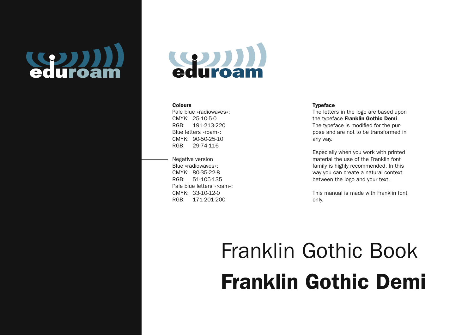



## **Colours**

Pale blue »radiowaves«: CMYK: 25-10-5-0 RGB: 191-213-220 Blue letters »roam«: CMYK: 90-50-25-10 RGB: 29-74-116

Negative version Blue »radiowaves«: CMYK: 80-35-22-8 RGB: 51-105-135 Pale blue letters »roam«: CMYK: 33-10-12-0 RGB: 171-201-200

## Typeface

The letters in the logo are based upon the typeface Franklin Gothic Demi. The typeface is modified for the purpose and are not to be transformed in any way.

Especially when you work with printed material the use of the Franklin font family is highly recommended. In this way you can create a natural context between the logo and your text.

This manual is made with Franklin font only.

## Franklin Gothic Book Franklin Gothic Demi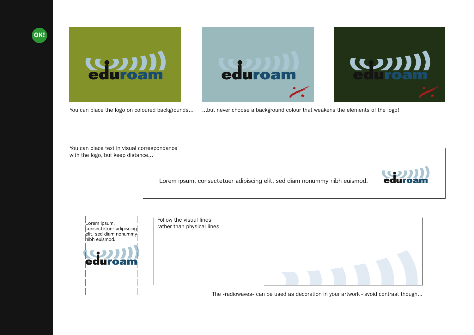





 $(1)$ 

You can place the logo on coloured backgrounds... ...but never choose a background colour that weakens the elements of the logo!

You can place text in visual correspondance with the logo, but keep distance...

Lorem ipsum, consectetuer adipiscing elit, sed diam nonummy nibh euismod.



Lorem ipsum, consectetuer adipiscing elit, sed diam nonummy nibh euismod.



Follow the visual lines rather than physical lines

The »radiowaves« can be used as decoration in your artwork - avoid contrast though...